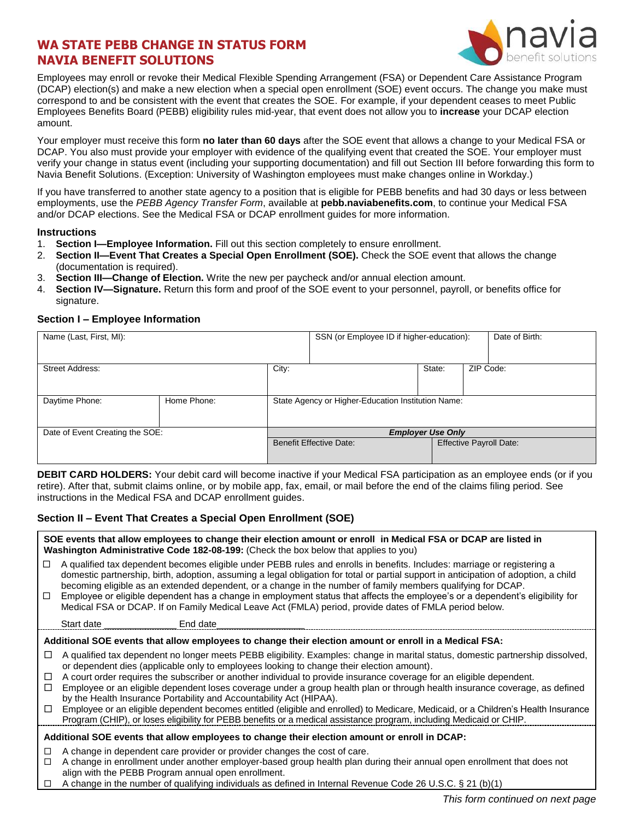# **WA STATE PEBB CHANGE IN STATUS FORM NAVIA BENEFIT SOLUTIONS**



Employees may enroll or revoke their Medical Flexible Spending Arrangement (FSA) or Dependent Care Assistance Program (DCAP) election(s) and make a new election when a special open enrollment (SOE) event occurs. The change you make must correspond to and be consistent with the event that creates the SOE. For example, if your dependent ceases to meet Public Employees Benefits Board (PEBB) eligibility rules mid-year, that event does not allow you to **increase** your DCAP election amount.

Your employer must receive this form **no later than 60 days** after the SOE event that allows a change to your Medical FSA or DCAP. You also must provide your employer with evidence of the qualifying event that created the SOE. Your employer must verify your change in status event (including your supporting documentation) and fill out Section III before forwarding this form to Navia Benefit Solutions. (Exception: University of Washington employees must make changes online in Workday.)

If you have transferred to another state agency to a position that is eligible for PEBB benefits and had 30 days or less between employments, use the *PEBB Agency Transfer Form*, available at **pebb.naviabenefits.com**, to continue your Medical FSA and/or DCAP elections. See the Medical FSA or DCAP enrollment guides for more information.

#### **Instructions**

- 1. **Section I—Employee Information.** Fill out this section completely to ensure enrollment.
- 2. **Section II—Event That Creates a Special Open Enrollment (SOE).** Check the SOE event that allows the change (documentation is required).
- 3. **Section III—Change of Election.** Write the new per paycheck and/or annual election amount.
- 4. **Section IV—Signature.** Return this form and proof of the SOE event to your personnel, payroll, or benefits office for signature.

### **Section I – Employee Information**

| Name (Last, First, MI):         |             |                                                    | SSN (or Employee ID if higher-education): |        |           | Date of Birth:                 |
|---------------------------------|-------------|----------------------------------------------------|-------------------------------------------|--------|-----------|--------------------------------|
| <b>Street Address:</b>          |             | City:                                              |                                           | State: | ZIP Code: |                                |
| Daytime Phone:                  | Home Phone: | State Agency or Higher-Education Institution Name: |                                           |        |           |                                |
| Date of Event Creating the SOE: |             | <b>Employer Use Only</b>                           |                                           |        |           |                                |
|                                 |             |                                                    | <b>Benefit Effective Date:</b>            |        |           | <b>Effective Payroll Date:</b> |

**DEBIT CARD HOLDERS:** Your debit card will become inactive if your Medical FSA participation as an employee ends (or if you retire). After that, submit claims online, or by mobile app, fax, email, or mail before the end of the claims filing period. See instructions in the Medical FSA and DCAP enrollment guides.

### **Section II – Event That Creates a Special Open Enrollment (SOE)**

|                                                                                                        | SOE events that allow employees to change their election amount or enroll in Medical FSA or DCAP are listed in<br>Washington Administrative Code 182-08-199: (Check the box below that applies to you)                                                                                                                                                  |  |  |  |  |
|--------------------------------------------------------------------------------------------------------|---------------------------------------------------------------------------------------------------------------------------------------------------------------------------------------------------------------------------------------------------------------------------------------------------------------------------------------------------------|--|--|--|--|
| □                                                                                                      | A qualified tax dependent becomes eligible under PEBB rules and enrolls in benefits. Includes: marriage or registering a<br>domestic partnership, birth, adoption, assuming a legal obligation for total or partial support in anticipation of adoption, a child                                                                                        |  |  |  |  |
| □                                                                                                      | becoming eligible as an extended dependent, or a change in the number of family members qualifying for DCAP.<br>Employee or eligible dependent has a change in employment status that affects the employee's or a dependent's eligibility for<br>Medical FSA or DCAP. If on Family Medical Leave Act (FMLA) period, provide dates of FMLA period below. |  |  |  |  |
|                                                                                                        | End date<br>Start date                                                                                                                                                                                                                                                                                                                                  |  |  |  |  |
| Additional SOE events that allow employees to change their election amount or enroll in a Medical FSA: |                                                                                                                                                                                                                                                                                                                                                         |  |  |  |  |
| ப                                                                                                      | A qualified tax dependent no longer meets PEBB eligibility. Examples: change in marital status, domestic partnership dissolved,<br>or dependent dies (applicable only to employees looking to change their election amount).                                                                                                                            |  |  |  |  |
| □                                                                                                      | A court order requires the subscriber or another individual to provide insurance coverage for an eligible dependent.                                                                                                                                                                                                                                    |  |  |  |  |
| □                                                                                                      | Employee or an eligible dependent loses coverage under a group health plan or through health insurance coverage, as defined<br>by the Health Insurance Portability and Accountability Act (HIPAA).                                                                                                                                                      |  |  |  |  |
| □                                                                                                      | Employee or an eligible dependent becomes entitled (eligible and enrolled) to Medicare, Medicaid, or a Children's Health Insurance<br>Program (CHIP), or loses eligibility for PEBB benefits or a medical assistance program, including Medicaid or CHIP.                                                                                               |  |  |  |  |
| Additional SOE events that allow employees to change their election amount or enroll in DCAP:          |                                                                                                                                                                                                                                                                                                                                                         |  |  |  |  |
| □                                                                                                      | A change in dependent care provider or provider changes the cost of care.                                                                                                                                                                                                                                                                               |  |  |  |  |
| П                                                                                                      | A change in enrollment under another employer-based group health plan during their annual open enrollment that does not<br>align with the PEBB Program annual open enrollment.                                                                                                                                                                          |  |  |  |  |
| □                                                                                                      | A change in the number of qualifying individuals as defined in Internal Revenue Code 26 U.S.C. § 21 (b)(1)                                                                                                                                                                                                                                              |  |  |  |  |